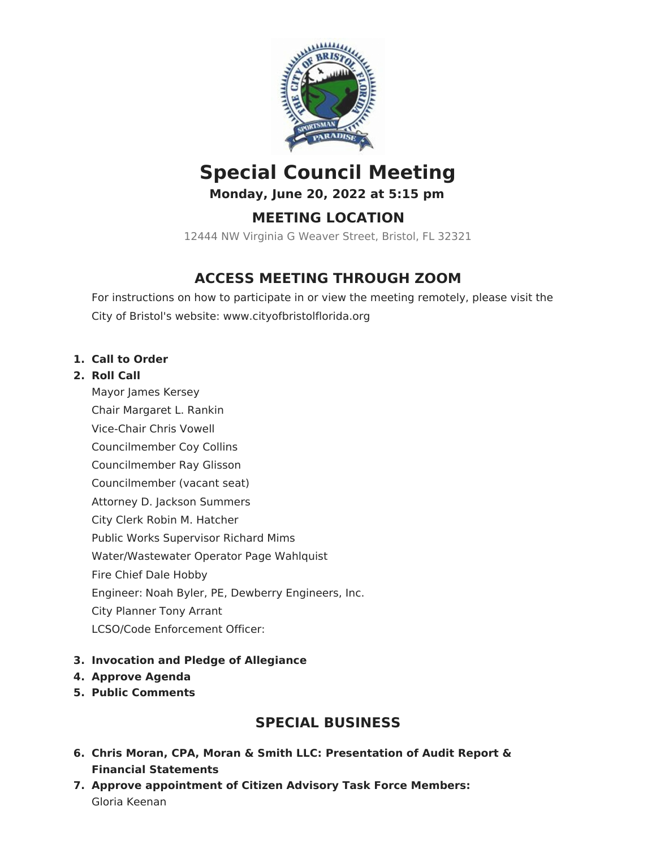

# **Special Council Meeting**

**Monday, June 20, 2022 at 5:15 pm**

## **MEETING LOCATION**

12444 NW Virginia G Weaver Street, Bristol, FL 32321

## **ACCESS MEETING THROUGH ZOOM**

For instructions on how to participate in or view the meeting remotely, please visit the City of Bristol's website: www.cityofbristolflorida.org

### **1. Call to Order**

#### **2. Roll Call**

Mayor James Kersey Chair Margaret L. Rankin Vice-Chair Chris Vowell Councilmember Coy Collins Councilmember Ray Glisson Councilmember (vacant seat) Attorney D. Jackson Summers City Clerk Robin M. Hatcher Public Works Supervisor Richard Mims Water/Wastewater Operator Page Wahlquist Fire Chief Dale Hobby Engineer: Noah Byler, PE, Dewberry Engineers, Inc. City Planner Tony Arrant LCSO/Code Enforcement Officer:

### **3. Invocation and Pledge of Allegiance**

- **4. Approve Agenda**
- **5. Public Comments**

## **SPECIAL BUSINESS**

- **6. Chris Moran, CPA, Moran & Smith LLC: Presentation of Audit Report & Financial Statements**
- **7. Approve appointment of Citizen Advisory Task Force Members:** Gloria Keenan